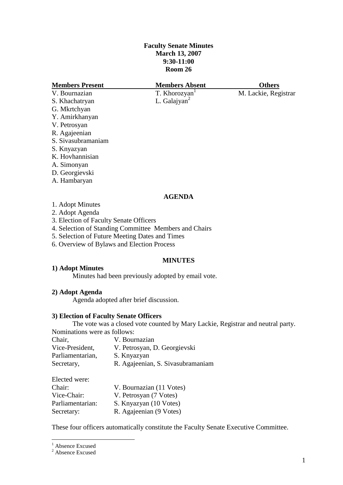# **Faculty Senate Minutes March 13, 2007 9:30-11:00 Room 26**

| <b>Members Present</b> | <b>Members Absent</b>    | <b>Others</b>        |
|------------------------|--------------------------|----------------------|
| V. Bournazian          | T. Khorozyan             | M. Lackie, Registrar |
| S. Khachatryan         | L. Galajyan <sup>2</sup> |                      |
| G. Mkrtchyan           |                          |                      |
| Y. Amirkhanyan         |                          |                      |
| V. Petrosyan           |                          |                      |
| R. Agajeenian          |                          |                      |
| S. Sivasubramaniam     |                          |                      |
| S. Knyazyan            |                          |                      |
| K. Hovhannisian        |                          |                      |
| A. Simonyan            |                          |                      |
| D. Georgievski         |                          |                      |
| A. Hambaryan           |                          |                      |

### **AGENDA**

- 2. Adopt Agenda
- 3. Election of Faculty Senate Officers
- 4. Selection of Standing Committee Members and Chairs
- 5. Selection of Future Meeting Dates and Times
- 6. Overview of Bylaws and Election Process

#### **MINUTES**

# **1) Adopt Minutes**

Minutes had been previously adopted by email vote.

# **2) Adopt Agenda**

Agenda adopted after brief discussion.

# **3) Election of Faculty Senate Officers**

The vote was a closed vote counted by Mary Lackie, Registrar and neutral party. Nominations were as follows:

| V. Bournazian                     |
|-----------------------------------|
| V. Petrosyan, D. Georgievski      |
| S. Knyazyan                       |
| R. Agajeenian, S. Sivasubramaniam |
|                                   |

Elected were:

| Chair:           | V. Bournazian (11 Votes) |
|------------------|--------------------------|
| Vice-Chair:      | V. Petrosyan (7 Votes)   |
| Parliamentarian: | S. Knyazyan (10 Votes)   |
| Secretary:       | R. Agajeenian (9 Votes)  |

These four officers automatically constitute the Faculty Senate Executive Committee.

<u>.</u>

<sup>&</sup>lt;sup>1</sup> Absence Excused

 $2$  Absence Excused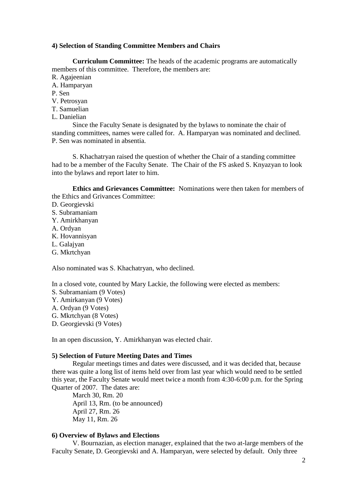### **4) Selection of Standing Committee Members and Chairs**

**Curriculum Committee:** The heads of the academic programs are automatically members of this committee. Therefore, the members are:

R. Agajeenian

- A. Hamparyan
- P. Sen
- V. Petrosyan
- T. Samuelian
- L. Danielian

Since the Faculty Senate is designated by the bylaws to nominate the chair of standing committees, names were called for. A. Hamparyan was nominated and declined. P. Sen was nominated in absentia.

S. Khachatryan raised the question of whether the Chair of a standing committee had to be a member of the Faculty Senate. The Chair of the FS asked S. Knyazyan to look into the bylaws and report later to him.

**Ethics and Grievances Committee:** Nominations were then taken for members of the Ethics and Grivances Committee:

- D. Georgievski
- S. Subramaniam
- Y. Amirkhanyan
- A. Ordyan
- K. Hovannisyan
- L. Galajyan
- G. Mkrtchyan

Also nominated was S. Khachatryan, who declined.

In a closed vote, counted by Mary Lackie, the following were elected as members:

- S. Subramaniam (9 Votes)
- Y. Amirkanyan (9 Votes)
- A. Ordyan (9 Votes)
- G. Mkrtchyan (8 Votes)
- D. Georgievski (9 Votes)

In an open discussion, Y. Amirkhanyan was elected chair.

#### **5) Selection of Future Meeting Dates and Times**

Regular meetings times and dates were discussed, and it was decided that, because there was quite a long list of items held over from last year which would need to be settled this year, the Faculty Senate would meet twice a month from 4:30-6:00 p.m. for the Spring Quarter of 2007. The dates are:

March 30, Rm. 20 April 13, Rm. (to be announced) April 27, Rm. 26 May 11, Rm. 26

#### **6) Overview of Bylaws and Elections**

V. Bournazian, as election manager, explained that the two at-large members of the Faculty Senate, D. Georgievski and A. Hamparyan, were selected by default. Only three